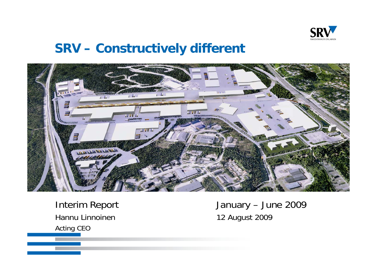

# **SRV – Constructively different**



Hannu Linnoinen 12 August 2009 Acting CEO

Interim Report January – June 2009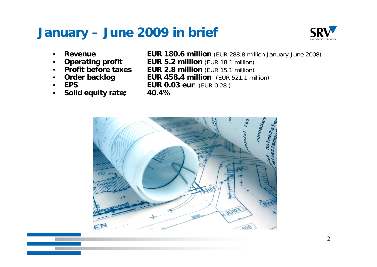# **January – June 2009 in brief**



- •
- •
- •
- •**Order backlo**
- •
- •**Solid equity rate; 40.4%**

**Revenue EUR 180.6 million** (EUR 288.8 million January-June 2008)

- **Operating profit EUR 5.2 million** (EUR 18.1 million)<br>**Profit before taxes EUR 2.8 million** (EUR 15.1 million)
	- **EUR 2.8 million** (EUR 15.1 million)
		- **g EUR 458.4 million** (EUR 521.1 million)
- **EPS EUR 0.03 eur** (EUR 0.28 )
	-

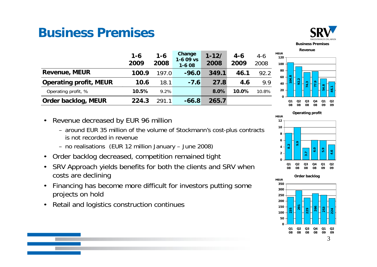# **Business Premises**



**54.8 46.1**

**MEUR**

**80100120**

**104.8 92.2 74.3 77.9**

|                               | $1 - 6$<br>2009 | $1 - 6$<br>2008 | <b>Change</b><br>$1 - 609$ vs<br>$1 - 608$ | $1 - 12/$<br>2008 | $4 - 6$<br>2009 | $4-6$<br>2008 |
|-------------------------------|-----------------|-----------------|--------------------------------------------|-------------------|-----------------|---------------|
| <b>Revenue, MEUR</b>          | 100.9           | 197.0           | $-96.0$                                    | 349.1             | 46.1            | 92.2          |
| <b>Operating profit, MEUR</b> | 10.6            | 18.1            | $-7.6$                                     | 27.8              | 4.6             | 9.9           |
| Operating profit, %           | 10.5%           | 9.2%            |                                            | 8.0%              | 10.0%           | 10.8%         |
| Order backlog, MEUR           | 224.3           | 291.1           | $-66.8$                                    | 265.7             |                 |               |

- Revenue decreased by EUR 96 million
	- around EUR 35 million of the volume of Stockmann's cost-plus contracts is not recorded in revenue
	- no realisations (EUR 12 million January June 2008)
- Order backlog decreased, competition remained tight
- SRV Approach yields benefits for both the clients and SRV when costs are declining
- • Financing has become more difficult for investors putting some projects on hold<br>• Retail and logist
- Retail and logistics construction continues

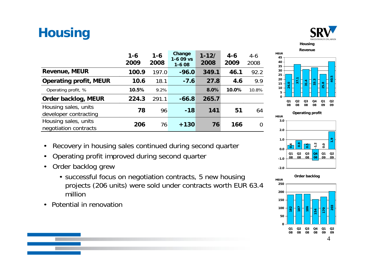# **Housing**



| Housing |  |
|---------|--|
| Revenue |  |

|                                               | $1 - 6$<br>2009 | $1 - 6$<br>2008 | Change<br>$1-609$ vs<br>$1-608$ | $1 - 12/$<br>2008 | $4 - 6$<br>2009 | $4-6$<br>2008  |
|-----------------------------------------------|-----------------|-----------------|---------------------------------|-------------------|-----------------|----------------|
| <b>Revenue, MEUR</b>                          | 100.9           | 197.0           | $-96.0$                         | 349.1             | 46.1            | 92.2           |
| <b>Operating profit, MEUR</b>                 | 10.6            | 18.1            | $-7.6$                          | 27.8              | 4.6             | 9.9            |
| Operating profit, %                           | 10.5%           | 9.2%            |                                 | 8.0%              | 10.0%           | 10.8%          |
| Order backlog, MEUR                           | 224.3           | 291.1           | $-66.8$                         | 265.7             |                 |                |
| Housing sales, units<br>developer contracting | 78              | 96              | $-18$                           | 141               | 51              | 64             |
| Housing sales, units<br>negotiation contracts | 206             | 76              | $+130$                          | 76                | 166             | $\overline{0}$ |







- $\bullet$ Recovery in housing sales continued during second quarter
- •Operating profit improved during second quarter
- Order backlog grew •
	- successful focus on negotiation contracts, 5 new housing projects (206 units) were sold under contracts worth EUR 63.4 million
- Potential in renovation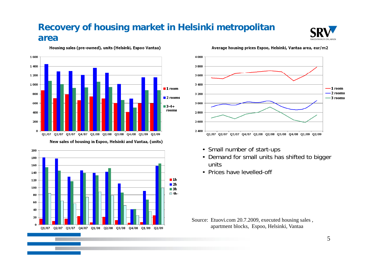#### **Recovery of housing market in Helsinki metropolitan area**



Housing sales (pre-owned), units (Helsinki, Espoo Vantaa)



New sales of housing in Espoo, Helsinki and Vantaa, (units)







- Small number of start-ups
- Demand for small units has shifted to bigger units
- Prices have levelled-off

Source: Etuovi.com 20.7.2009, executed housing sales , apartment blocks, Espoo, Helsinki, Vantaa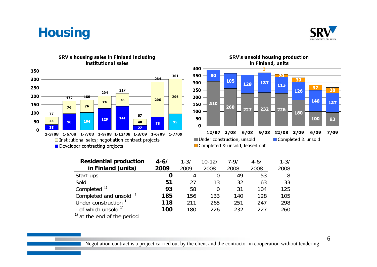



#### 350 301 300 284 250  $\overline{217}$ 204 200 206  $172$ 180 206 76 76 150 76 76 100  $77$  $67$ 141 128 44 50 104 96 40 95 78 33 27  $\mathbf{0}$  $1-3/08$   $1-6/08$   $1-7/08$   $1-9/08$   $1-12/08$   $1-3/09$   $1-6/09$   $1-7/09$ □ Institutional sales; negotiation contract projects Developer contracting projects

#### SRV's housing sales in Finland including institutional sales



| <b>Residential production</b>   | $4 - 6/$ | $1 - 3/$ | $10 - 12/$ | $7 - 9/$ | $4 - 6/$ | $1 - 3/$ |
|---------------------------------|----------|----------|------------|----------|----------|----------|
| in Finland (units)              | 2009     | 2009     | 2008       | 2008     | 2008     | 2008     |
| Start-ups                       |          | 4        | 0          | 49       | 53       | 8        |
| Sold                            | 51       | 27       | 13         | 32       | 63       | 33       |
| Completed <sup>1)</sup>         | 93       | 58       | $\Omega$   | 31       | 104      | 125      |
| Completed and unsold 1)         | 185      | 156      | 133        | 140      | 128      | 105      |
| Under construction <sup>1</sup> | 118      | 211      | 265        | 251      | 247      | 298      |
| - of which unsold $1$           | 100      | 180      | 226        | 232      | 227      | 260      |
| $1$ at the end of the period    |          |          |            |          |          |          |

#### Negotiation contract is a project carried out by the client and the contractor in cooperation without tendering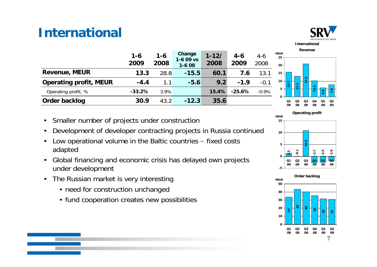# **International**



|                               | $1 - 6$<br>2009 | $1 - 6$<br>2008 | Change<br>$1-609$ vs<br>$1-608$ | $1 - 12/$<br>2008 | $4 - 6$<br>2009 | $4-6$<br>2008 |
|-------------------------------|-----------------|-----------------|---------------------------------|-------------------|-----------------|---------------|
| <b>Revenue, MEUR</b>          | 13.3            | 28.8            | $-15.5$                         | 60.1              | 7.6             | 13.1          |
| <b>Operating profit, MEUR</b> | $-4.4$          | 1.1             | $-5.6$                          | 9.2               | $-1.9$          | $-0.1$        |
| Operating profit, %           | $-33.2%$        | 3.9%            |                                 | 15.4%             | $-25.6%$        | $-0.9%$       |
| Order backlog                 | 30.9            | 43.2            | $-12.3$                         | 35.6              |                 |               |

- Smaller number of projects under construction
- •Development of developer contracting projects in Russia continued
- • Low operational volume in the Baltic countries – fixed costs adapted
- •Global financing and economic crisis has delayed own projects  $\log_{\frac{1}{3}}\log_{\frac{1}{3}}\log_{\frac{1}{3}}\log_{\frac{1}{3}}\log_{\frac{1}{3}}$ under development
- • The Russian market is very interesting
	- need for construction unchanged
	- fund cooperation creates new possibilities



**21.0**

**10.2**

**5.8 7.6**

**MEUR**

**1520 25**

> **0510**

**15.7 13.1**

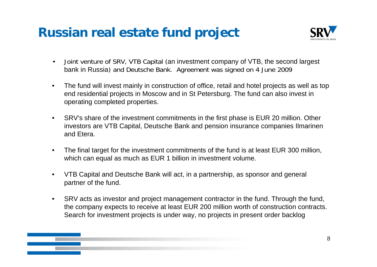# **Russian real estate fund project**



- • Joint venture of SRV, VTB Capital (an investment company of VTB, the second largest bank in Russia) and Deutsche Bank. Agreement was signed on 4 June 2009
- • The fund will invest mainly in construction of office, retail and hotel projects as well as top end residential projects in Moscow and in St Petersburg. The fund can also invest in operating completed properties.
- • SRV's share of the investment commitments in the first phase is EUR 20 million. Other investors are VTB Capital, Deutsche Bank and pension insurance companies Ilmarinen and Etera.
- • The final target for the investment commitments of the fund is at least EUR 300 million, which can equal as much as EUR 1 billion in investment volume.
- • VTB Capital and Deutsche Bank will act, in a partnership, as sponsor and general partner of the fund.
- • SRV acts as investor and project management contractor in the fund. Through the fund, the company expects to receive at least EUR 200 million worth of construction contracts. Search for investment projects is under way, no projects in present order backlog

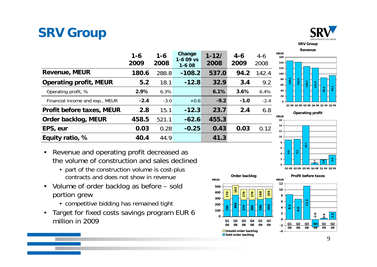# **SRV Group**



**SRV G Group Revenue**

|                                  | $1 - 6$<br>2009 | $1 - 6$<br>2008 | Change<br>$1-609$ vs<br>$1-608$ | $1 - 12/$<br>2008 | $4 - 6$<br>2009 | $4 - 6$<br>2008 |
|----------------------------------|-----------------|-----------------|---------------------------------|-------------------|-----------------|-----------------|
| <b>Revenue, MEUR</b>             | 180.6           | 288.8           | $-108.2$                        | 537.0             | 94.2            | 142.4           |
| <b>Operating profit, MEUR</b>    | 5.2             | 18.1            | $-12.8$                         | 32.9              | 3.4             | 9.2             |
| Operating profit, %              | 2.9%            | 6.3%            |                                 | 6.1%              | 3.6%            | 6.4%            |
| Financial income and exp., MEUR  | $-2.4$          | $-3.0$          | $+0.6$                          | $-9.2$            | $-1.0$          | $-2.4$          |
| <b>Profit before taxes, MEUR</b> | 2.8             | 15.1            | $-12.3$                         | 23.7              | 2.4             | 6.8             |
| Order backlog, MEUR              | 458.5           | 521.1           | $-62.6$                         | 455.3             |                 |                 |
| EPS, eur                         | 0.03            | 0.28            | $-0.25$                         | 0.43              | 0.03            | 0.12            |
| Equity ratio, %                  | 40.4            | 44.9            |                                 | 41.3              |                 |                 |



**Q1 08 Q2 08 Q3 08 Q4 08 Q1 09 Q2 09**



- Revenue and operating profit decreased as the volume of construction and sales declined
	- part of the construction volume is cost-plus contracts and does not show in revenue
- • Volume of order backlog as before – sold portion grew
	- competitive bidding has remained tight
- • Target for fixed costs savings program EUR 6 million in 2009



9

**0.4 2.5**

 **0909**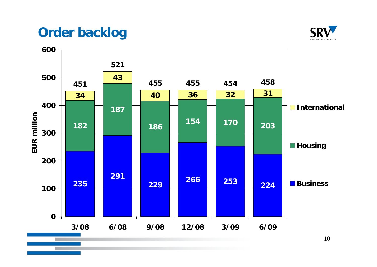# **Order backlog**



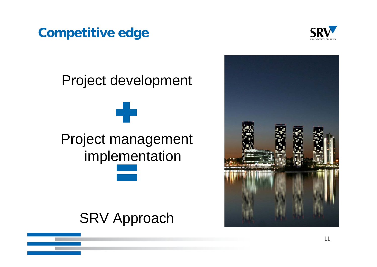# **Competitive edge**



# Project development Project management im plementation

# SRV Approach

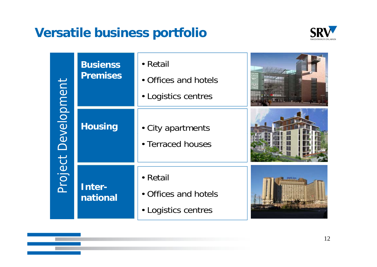# **Versatile business portfolio**



|             | <b>Busienss</b><br><b>Premises</b> | • Retail<br>• Offices and hotels<br>• Logistics centres |  |
|-------------|------------------------------------|---------------------------------------------------------|--|
| Development | <b>Housing</b>                     | • City apartments<br>• Terraced houses                  |  |
| Project     | Inter-<br>national                 | • Retail<br>• Offices and hotels<br>• Logistics centres |  |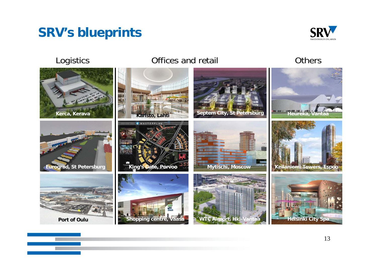# **SRV's blueprints**



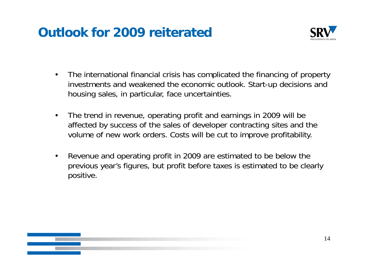# **Outlook for 2009 reiterated**



- • The international financial crisis has complicated the financing of property investments and weakened the economic outlook. Start-up decisions and housing sales, in particular, face uncertainties.
- • The trend in revenue, operating profit and earnings in 2009 will be affected by success of the sales of developer contracting sites and the volume of new work orders. Costs will be cut to improve profitability.
- • Revenue and operating profit in 2009 are estimated to be below the previous year's figures, but profit before taxes is estimated to be clearly positive.

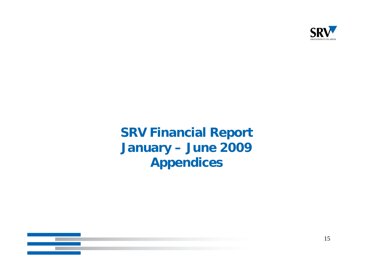

# **SRV Financial Report January – June 2009 Appendices**

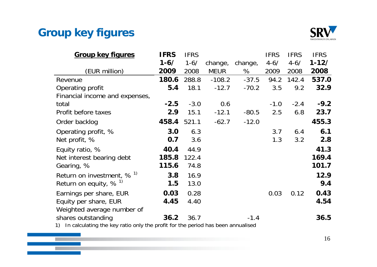### **Group key figures**



| <b>Group key figures</b>                                                                                                 | <b>IFRS</b> | <b>IFRS</b> |             |         | <b>IFRS</b> | <b>IFRS</b> | <b>IFRS</b> |
|--------------------------------------------------------------------------------------------------------------------------|-------------|-------------|-------------|---------|-------------|-------------|-------------|
|                                                                                                                          | $1 - 6/$    | $1 - 6/$    | change,     | change, | $4 - 6/$    | $4 - 6/$    | $1 - 12/$   |
| (EUR million)                                                                                                            | 2009        | 2008        | <b>MEUR</b> | %       | 2009        | 2008        | 2008        |
| Revenue                                                                                                                  | 180.6       | 288.8       | $-108.2$    | $-37.5$ | 94.2        | 142.4       | 537.0       |
| Operating profit                                                                                                         | 5.4         | 18.1        | $-12.7$     | $-70.2$ | 3.5         | 9.2         | 32.9        |
| Financial income and expenses,                                                                                           |             |             |             |         |             |             |             |
| total                                                                                                                    | $-2.5$      | $-3.0$      | 0.6         |         | $-1.0$      | $-2.4$      | $-9.2$      |
| Profit before taxes                                                                                                      | 2.9         | 15.1        | $-12.1$     | $-80.5$ | 2.5         | 6.8         | 23.7        |
| Order backlog                                                                                                            | 458.4       | 521.1       | $-62.7$     | $-12.0$ |             |             | 455.3       |
| Operating profit, %                                                                                                      | 3.0         | 6.3         |             |         | 3.7         | 6.4         | 6.1         |
| Net profit, %                                                                                                            | 0.7         | 3.6         |             |         | 1.3         | 3.2         | 2.8         |
| Equity ratio, %                                                                                                          | 40.4        | 44.9        |             |         |             |             | 41.3        |
| Net interest bearing debt                                                                                                | 185.8       | 122.4       |             |         |             |             | 169.4       |
| Gearing, %                                                                                                               | 115.6       | 74.8        |             |         |             |             | 101.7       |
| Return on investment, $% ^{1}$                                                                                           | 3.8         | 16.9        |             |         |             |             | 12.9        |
| Return on equity, $%$ <sup>1)</sup>                                                                                      | 1.5         | 13.0        |             |         |             |             | 9.4         |
| Earnings per share, EUR                                                                                                  | 0.03        | 0.28        |             |         | 0.03        | 0.12        | 0.43        |
| Equity per share, EUR                                                                                                    | 4.45        | 4.40        |             |         |             |             | 4.54        |
| Weighted average number of                                                                                               |             |             |             |         |             |             |             |
| shares outstanding<br>and a chairman than the control of the state of the control $\mathcal{C}$ in $\mathcal{C}$ and the | 36.2        | 36.7        |             | $-1.4$  |             |             | 36.5        |

1) In calculating the key ratio only the profit for the period has been annualised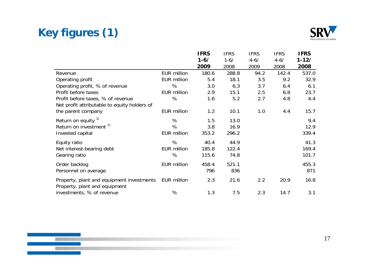# **Key figures (1)**

 $\mathcal{L}(\mathcal{E})$ 



|                                                                            |                    | <b>IFRS</b> | <b>IFRS</b> | <b>IFRS</b> | <b>IFRS</b> | <b>IFRS</b> |
|----------------------------------------------------------------------------|--------------------|-------------|-------------|-------------|-------------|-------------|
|                                                                            |                    | $1 - 6/$    | $1 - 6/$    | $4 - 6/$    | $4 - 6/$    | $1 - 12/$   |
|                                                                            |                    | 2009        | 2008        | 2009        | 2008        | 2008        |
| Revenue                                                                    | EUR million        | 180.6       | 288.8       | 94.2        | 142.4       | 537.0       |
| Operating profit                                                           | EUR million        | 5.4         | 18.1        | 3.5         | 9.2         | 32.9        |
| Operating profit, % of revenue                                             | %                  | 3.0         | 6.3         | 3.7         | 6.4         | 6.1         |
| Profit before taxes                                                        | EUR million        | 2.9         | 15.1        | 2.5         | 6.8         | 23.7        |
| Profit before taxes, % of revenue                                          | %                  | 1.6         | 5.2         | 2.7         | 4.8         | 4.4         |
| Net profit attributable to equity holders of                               |                    |             |             |             |             |             |
| the parent company                                                         | EUR million        | 1.2         | 10.1        | 1.0         | 4.4         | 15.7        |
| Return on equity $1$                                                       | %                  | 1.5         | 13.0        |             |             | 9.4         |
| Return on investment <sup>1)</sup>                                         | %                  | 3.8         | 16.9        |             |             | 12.9        |
| Invested capital                                                           | EUR million        | 353.2       | 296.2       |             |             | 339.4       |
| Equity ratio                                                               | %                  | 40.4        | 44.9        |             |             | 41.3        |
| Net interest-bearing debt                                                  | EUR million        | 185.8       | 122.4       |             |             | 169.4       |
| Gearing ratio                                                              | %                  | 115.6       | 74.8        |             |             | 101.7       |
| Order backlog                                                              | <b>EUR million</b> | 458.4       | 521.1       |             |             | 455.3       |
| Personnel on average                                                       |                    | 796         | 836         |             |             | 871         |
| Property, plant and equipment investments<br>Property, plant and equipment | EUR million        | 2.3         | 21.6        | 2.2         | 20.9        | 16.8        |
| investments, % of revenue                                                  | %                  | 1.3         | 7.5         | 2.3         | 14.7        | 3.1         |

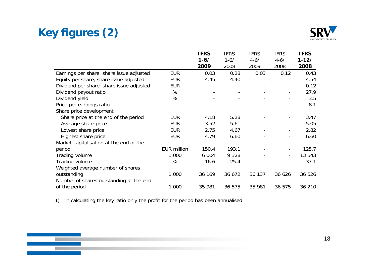# **Key figures (2)**



|                                          |                    | <b>IFRS</b>       | <b>IFRS</b> | <b>IFRS</b> | <b>IFRS</b>    | <b>IFRS</b> |
|------------------------------------------|--------------------|-------------------|-------------|-------------|----------------|-------------|
|                                          |                    | $1 - 6/$          | $1 - 6/$    | $4 - 6/$    | $4 - 6/$       | $1 - 12/$   |
|                                          |                    | 2009              | 2008        | 2009        | 2008           | 2008        |
| Earnings per share, share issue adjusted | <b>EUR</b>         | 0.03              | 0.28        | 0.03        | 0.12           | 0.43        |
| Equity per share, share issue adjusted   | <b>EUR</b>         | 4.45              | 4.40        |             |                | 4.54        |
| Dividend per share, share issue adjusted | <b>EUR</b>         | $\qquad \qquad -$ |             |             |                | 0.12        |
| Dividend payout ratio                    | %                  |                   |             |             | $\blacksquare$ | 27.9        |
| Dividend yield                           | %                  |                   |             |             |                | 3.5         |
| Price per earnings ratio                 |                    |                   |             |             |                | 8.1         |
| Share price development                  |                    |                   |             |             |                |             |
| Share price at the end of the period     | <b>EUR</b>         | 4.18              | 5.28        |             |                | 3.47        |
| Average share price                      | <b>EUR</b>         | 3.52              | 5.61        |             |                | 5.05        |
| Lowest share price                       | <b>EUR</b>         | 2.75              | 4.67        |             | $\blacksquare$ | 2.82        |
| Highest share price                      | <b>EUR</b>         | 4.79              | 6.60        |             |                | 6.60        |
| Market capitalisation at the end of the  |                    |                   |             |             |                |             |
| period                                   | <b>EUR million</b> | 150.4             | 193.1       |             |                | 125.7       |
| Trading volume                           | 1,000              | 6 0 0 4           | 9 3 2 8     |             | $\blacksquare$ | 13 543      |
| Trading volume                           | %                  | 16.6              | 25.4        |             |                | 37.1        |
| Weighted average number of shares        |                    |                   |             |             |                |             |
| outstanding                              | 1,000              | 36 169            | 36 672      | 36 137      | 36 626         | 36 526      |
| Number of shares outstanding at the end  |                    |                   |             |             |                |             |
| of the period                            | 1,000              | 35 981            | 36 575      | 35 981      | 36 575         | 36 210      |

1) In calculating the key ratio only the profit for the period has been annualised



18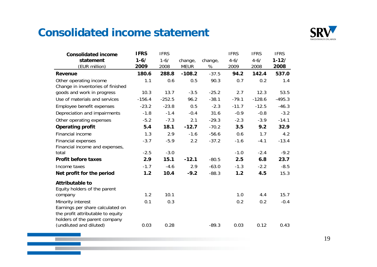#### **Consolidated income statement**

<u>a sa Ba</u>



| <b>Consolidated income</b>        | <b>IFRS</b> | <b>IFRS</b> |             |         | <b>IFRS</b> | <b>IFRS</b> | <b>IFRS</b> |
|-----------------------------------|-------------|-------------|-------------|---------|-------------|-------------|-------------|
| statement                         | $1 - 6/$    | $1 - 6/$    | change,     | change, | $4 - 6/$    | $4 - 6/$    | $1 - 12/$   |
| (EUR million)                     | 2009        | 2008        | <b>MEUR</b> | %       | 2009        | 2008        | 2008        |
| <b>Revenue</b>                    | 180.6       | 288.8       | $-108.2$    | $-37.5$ | 94.2        | 142.4       | 537.0       |
| Other operating income            | 1.1         | 0.6         | 0.5         | 90.3    | 0.7         | 0.2         | 1.4         |
| Change in inventories of finished |             |             |             |         |             |             |             |
| goods and work in progress        | 10.3        | 13.7        | $-3.5$      | $-25.2$ | 2.7         | 12.3        | 53.5        |
| Use of materials and services     | $-156.4$    | $-252.5$    | 96.2        | $-38.1$ | $-79.1$     | $-128.6$    | $-495.3$    |
| Employee benefit expenses         | $-23.2$     | $-23.8$     | 0.5         | $-2.3$  | $-11.7$     | $-12.5$     | $-46.3$     |
| Depreciation and impairments      | $-1.8$      | $-1.4$      | $-0.4$      | 31.6    | $-0.9$      | $-0.8$      | $-3.2$      |
| Other operating expenses          | $-5.2$      | $-7.3$      | 2.1         | $-29.3$ | $-2.3$      | $-3.9$      | $-14.1$     |
| <b>Operating profit</b>           | 5.4         | 18.1        | $-12.7$     | $-70.2$ | 3.5         | 9.2         | 32.9        |
| Financial income                  | 1.3         | 2.9         | $-1.6$      | $-56.6$ | 0.6         | 1.7         | 4.2         |
| Financial expenses                | $-3.7$      | $-5.9$      | 2.2         | $-37.2$ | $-1.6$      | $-4.1$      | $-13.4$     |
| Financial income and expenses,    |             |             |             |         |             |             |             |
| total                             | $-2.5$      | $-3.0$      |             |         | $-1.0$      | $-2.4$      | $-9.2$      |
| <b>Profit before taxes</b>        | 2.9         | 15.1        | $-12.1$     | $-80.5$ | 2.5         | 6.8         | 23.7        |
| Income taxes                      | $-1.7$      | $-4.6$      | 2.9         | $-63.0$ | $-1.3$      | $-2.2$      | $-8.5$      |
| Net profit for the period         | 1.2         | 10.4        | $-9.2$      | $-88.3$ | 1.2         | 4.5         | 15.3        |
| <b>Attributable to</b>            |             |             |             |         |             |             |             |
| Equity holders of the parent      |             |             |             |         |             |             |             |
| company                           | 1.2         | 10.1        |             |         | 1.0         | 4.4         | 15.7        |
| Minority interest                 | 0.1         | 0.3         |             |         | 0.2         | 0.2         | $-0.4$      |
| Earnings per share calculated on  |             |             |             |         |             |             |             |
| the profit attributable to equity |             |             |             |         |             |             |             |
| holders of the parent company     |             |             |             |         |             |             |             |
| (undiluted and diluted)           | 0.03        | 0.28        |             | $-89.3$ | 0.03        | 0.12        | 0.43        |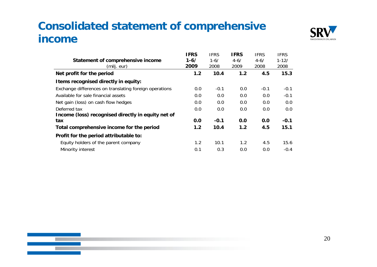## **Consolidated statement of comprehensive income**



|                                                        | <b>IFRS</b> | <b>IFRS</b> | <b>IFRS</b> | <b>IFRS</b> | <b>IFRS</b> |
|--------------------------------------------------------|-------------|-------------|-------------|-------------|-------------|
| Statement of comprehensive income                      | $1 - 6/$    | $1 - 6/$    | $4 - 6/$    | $4 - 6/$    | $1 - 12/$   |
| (milj. eur)                                            | 2009        | 2008        | 2009        | 2008        | 2008        |
| Net profit for the period                              | 1.2         | 10.4        | 1.2         | 4.5         | 15.3        |
| Items recognised directly in equity:                   |             |             |             |             |             |
| Exchange differences on translating foreign operations | 0.0         | $-0.1$      | 0.0         | $-0.1$      | $-0.1$      |
| Available for sale financial assets                    | 0.0         | 0.0         | 0.0         | 0.0         | $-0.1$      |
| Net gain (loss) on cash flow hedges                    | 0.0         | 0.0         | 0.0         | 0.0         | 0.0         |
| Deferred tax                                           | 0.0         | 0.0         | 0.0         | 0.0         | 0.0         |
| Income (loss) recognised directly in equity net of     |             |             |             |             |             |
| tax                                                    | 0.0         | $-0.1$      | 0.0         | 0.0         | $-0.1$      |
| Total comprehensive income for the period              | 1.2         | 10.4        | 1.2         | 4.5         | 15.1        |
| Profit for the period attributable to:                 |             |             |             |             |             |
| Equity holders of the parent company                   | 1.2         | 10.1        | 1.2         | 4.5         | 15.6        |
| Minority interest                                      | 0.1         | 0.3         | 0.0         | 0.0         | $-0.4$      |



20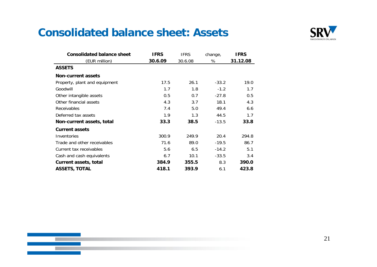#### **Consolidated balance sheet: Assets**

 $\mathbb{R}$  in  $\mathbb{R}$ 



| <b>Consolidated balance sheet</b> | <b>IFRS</b> | <b>IFRS</b> | change, | <b>IFRS</b> |
|-----------------------------------|-------------|-------------|---------|-------------|
| (EUR million)                     | 30.6.09     | 30.6.08     | %       | 31.12.08    |
| <b>ASSETS</b>                     |             |             |         |             |
| <b>Non-current assets</b>         |             |             |         |             |
| Property, plant and equipment     | 17.5        | 26.1        | $-33.2$ | 19.0        |
| Goodwill                          | 1.7         | 1.8         | $-1.2$  | 1.7         |
| Other intangible assets           | 0.5         | 0.7         | $-27.8$ | 0.5         |
| Other financial assets            | 4.3         | 3.7         | 18.1    | 4.3         |
| <b>Receivables</b>                | 7.4         | 5.0         | 49.4    | 6.6         |
| Deferred tax assets               | 1.9         | 1.3         | 44.5    | 1.7         |
| Non-current assets, total         | 33.3        | 38.5        | $-13.5$ | 33.8        |
| <b>Current assets</b>             |             |             |         |             |
| Inventories                       | 300.9       | 249.9       | 20.4    | 294.8       |
| Trade and other receivables       | 71.6        | 89.0        | $-19.5$ | 86.7        |
| Current tax receivables           | 5.6         | 6.5         | $-14.2$ | 5.1         |
| Cash and cash equivalents         | 6.7         | 10.1        | $-33.5$ | 3.4         |
| <b>Current assets, total</b>      | 384.9       | 355.5       | 8.3     | 390.0       |
| <b>ASSETS, TOTAL</b>              | 418.1       | 393.9       | 6.1     | 423.8       |

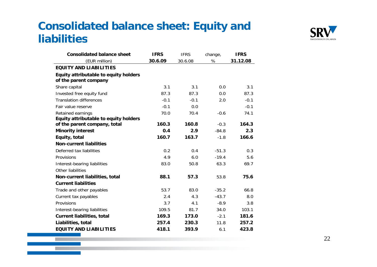### **Consolidated balance sheet: Equity and liabilities**



| <b>Consolidated balance sheet</b>     | <b>IFRS</b> | <b>IFRS</b> | change, | <b>IFRS</b> |
|---------------------------------------|-------------|-------------|---------|-------------|
| (EUR million)                         | 30.6.09     | 30.6.08     | %       | 31.12.08    |
| <b>EQUITY AND LIABILITIES</b>         |             |             |         |             |
| Equity attributable to equity holders |             |             |         |             |
| of the parent company                 |             |             |         |             |
| Share capital                         | 3.1         | 3.1         | 0.0     | 3.1         |
| Invested free equity fund             | 87.3        | 87.3        | 0.0     | 87.3        |
| <b>Translation differences</b>        | $-0.1$      | $-0.1$      | 2.0     | $-0.1$      |
| Fair value reserve                    | $-0.1$      | 0.0         |         | $-0.1$      |
| Retained earnings                     | 70.0        | 70.4        | $-0.6$  | 74.1        |
| Equity attributable to equity holders |             |             |         |             |
| of the parent company, total          | 160.3       | 160.8       | $-0.3$  | 164.3       |
| <b>Minority interest</b>              | 0.4         | 2.9         | $-84.8$ | 2.3         |
| Equity, total                         | 160.7       | 163.7       | $-1.8$  | 166.6       |
| <b>Non-current liabilities</b>        |             |             |         |             |
| Deferred tax liabilities              | 0.2         | 0.4         | $-51.3$ | 0.3         |
| Provisions                            | 4.9         | 6.0         | $-19.4$ | 5.6         |
| Interest-bearing liabilities          | 83.0        | 50.8        | 63.3    | 69.7        |
| Other liabilities                     |             |             |         |             |
| Non-current liabilities, total        | 88.1        | 57.3        | 53.8    | 75.6        |
| <b>Current liabilities</b>            |             |             |         |             |
| Trade and other payables              | 53.7        | 83.0        | $-35.2$ | 66.8        |
| Current tax payables                  | 2.4         | 4.3         | $-43.7$ | 8.0         |
| Provisions                            | 3.7         | 4.1         | $-8.9$  | 3.8         |
| Interest-bearing liabilities          | 109.5       | 81.7        | 34.0    | 103.1       |
| <b>Current liabilities, total</b>     | 169.3       | 173.0       | $-2.1$  | 181.6       |
| Liabilities, total                    | 257.4       | 230.3       | 11.8    | 257.2       |
| <b>EQUITY AND LIABILITIES</b>         | 418.1       | 393.9       | 6.1     | 423.8       |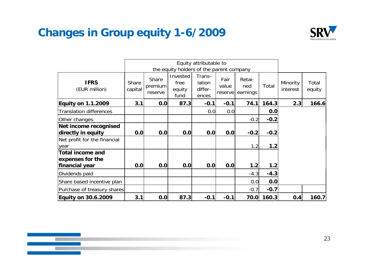## **Changes in Group equity 1-6/2009**



|                                             |                  |                             |                                          | Equity attributable to               |                           |                           |        |                      |                 |
|---------------------------------------------|------------------|-----------------------------|------------------------------------------|--------------------------------------|---------------------------|---------------------------|--------|----------------------|-----------------|
|                                             |                  |                             | the equity holders of the parent company |                                      |                           |                           |        |                      |                 |
| <b>IFRS</b><br>(EUR million)                | Share<br>capital | Share<br>premium<br>reserve | Invested<br>free<br>equity<br>fund       | Trans-<br>lation<br>differ-<br>ences | Fair<br>value<br>reservel | Retai-<br>ned<br>earnings | Total  | Minority<br>interest | Total<br>equity |
| <b>Equity on 1.1.2009</b>                   | 3.1              | 0.0                         | 87.3                                     | $-0.1$                               | $-0.1$                    | 74.1                      | 164.3  | 2.3                  | 166.6           |
| <b>Translation differences</b>              |                  |                             |                                          | 0.0                                  | 0.0                       |                           | 0.0    |                      |                 |
| Other changes                               |                  |                             |                                          |                                      |                           | $-0.2$                    | $-0.2$ |                      |                 |
| Net income recognised                       |                  |                             |                                          |                                      |                           |                           |        |                      |                 |
| directly in equity                          | 0.0              | 0.0                         | 0.0                                      | 0.0                                  | 0.0                       | $-0.2$                    | $-0.2$ |                      |                 |
| Net profit for the financial<br>year        |                  |                             |                                          |                                      |                           | 1.2                       | 1.2    |                      |                 |
| <b>Total income and</b><br>expenses for the |                  |                             |                                          |                                      |                           |                           |        |                      |                 |
| financial year                              | 0.0              | 0.0                         | 0.0                                      | 0.0                                  | 0.0                       | 1.2                       | 1.2    |                      |                 |
| Dividends paid                              |                  |                             |                                          |                                      |                           | $-4.3$                    | $-4.3$ |                      |                 |
| Share based incentive plan                  |                  |                             |                                          |                                      |                           | 0.0                       | 0.0    |                      |                 |
| Purchase of treasury shares                 |                  |                             |                                          |                                      |                           | $-0.7$                    | $-0.7$ |                      |                 |
| <b>Equity on 30.6.2009</b>                  | 3.1              | 0.0                         | 87.3                                     | $-0.1$                               | $-0.1$                    | 70.0                      | 160.3  | 0.4                  | 160.7           |

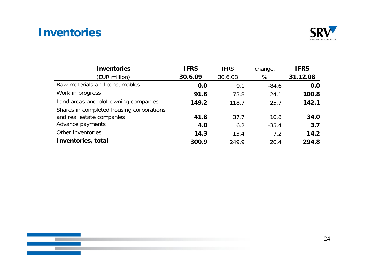#### **Inventories**



| <b>Inventories</b>                       | <b>IFRS</b> | <b>IFRS</b> | change, | <b>IFRS</b> |
|------------------------------------------|-------------|-------------|---------|-------------|
| (EUR million)                            | 30.6.09     | 30.6.08     | %       | 31.12.08    |
| Raw materials and consumables            | 0.0         | 0.1         | $-84.6$ | 0.0         |
| Work in progress                         | 91.6        | 73.8        | 24.1    | 100.8       |
| Land areas and plot-owning companies     | 149.2       | 118.7       | 25.7    | 142.1       |
| Shares in completed housing corporations |             |             |         |             |
| and real estate companies                | 41.8        | 37.7        | 10.8    | 34.0        |
| Advance payments                         | 4.0         | 6.2         | $-35.4$ | 3.7         |
| Other inventories                        | 14.3        | 13.4        | 7.2     | 14.2        |
| Inventories, total                       | 300.9       | 249.9       | 20.4    | 294.8       |

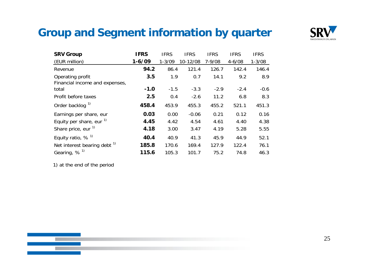#### **Group and Segment information by quarter**



| <b>SRV Group</b>                        | <b>IFRS</b> | <b>IFRS</b> | <b>IFRS</b> | <b>IFRS</b> | <b>IFRS</b> | <b>IFRS</b> |
|-----------------------------------------|-------------|-------------|-------------|-------------|-------------|-------------|
| (EUR million)                           | $1 - 6/09$  | $1 - 3/09$  | 10-12/08    | $7 - 9/08$  | $4 - 6/08$  | $1 - 3/08$  |
| Revenue                                 | 94.2        | 86.4        | 121.4       | 126.7       | 142.4       | 146.4       |
| Operating profit                        | 3.5         | 1.9         | 0.7         | 14.1        | 9.2         | 8.9         |
| Financial income and expenses,          |             |             |             |             |             |             |
| total                                   | $-1.0$      | $-1.5$      | $-3.3$      | $-2.9$      | $-2.4$      | $-0.6$      |
| Profit before taxes                     | 2.5         | 0.4         | $-2.6$      | 11.2        | 6.8         | 8.3         |
| Order backlog <sup>1)</sup>             | 458.4       | 453.9       | 455.3       | 455.2       | 521.1       | 451.3       |
| Earnings per share, eur                 | 0.03        | 0.00        | $-0.06$     | 0.21        | 0.12        | 0.16        |
| Equity per share, eur $1$               | 4.45        | 4.42        | 4.54        | 4.61        | 4.40        | 4.38        |
| Share price, eur <sup>1)</sup>          | 4.18        | 3.00        | 3.47        | 4.19        | 5.28        | 5.55        |
| Equity ratio, $%$ <sup>1)</sup>         | 40.4        | 40.9        | 41.3        | 45.9        | 44.9        | 52.1        |
| Net interest bearing debt <sup>1)</sup> | 185.8       | 170.6       | 169.4       | 127.9       | 122.4       | 76.1        |
| Gearing, $%$ <sup>1)</sup>              | 115.6       | 105.3       | 101.7       | 75.2        | 74.8        | 46.3        |

1) at the end of the period



25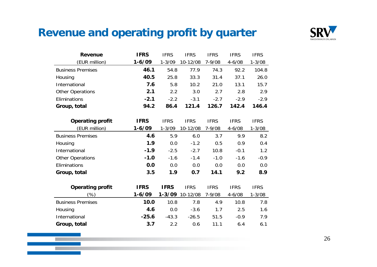#### **Revenue and operating profit by quarter**



| <b>Revenue</b>           | <b>IFRS</b> | <b>IFRS</b> | <b>IFRS</b>     | <b>IFRS</b> | <b>IFRS</b> | <b>IFRS</b> |
|--------------------------|-------------|-------------|-----------------|-------------|-------------|-------------|
| (EUR million)            | $1 - 6/09$  | $1 - 3/09$  | 10-12/08        | 7-9/08      | $4 - 6/08$  | $1 - 3/08$  |
| <b>Business Premises</b> | 46.1        | 54.8        | 77.9            | 74.3        | 92.2        | 104.8       |
| Housing                  | 40.5        | 25.8        | 33.3            | 31.4        | 37.1        | 26.0        |
| International            | 7.6         | 5.8         | 10.2            | 21.0        | 13.1        | 15.7        |
| <b>Other Operations</b>  | 2.1         | 2.2         | 3.0             | 2.7         | 2.8         | 2.9         |
| Eliminations             | $-2.1$      | $-2.2$      | $-3.1$          | $-2.7$      | $-2.9$      | $-2.9$      |
| Group, total             | 94.2        | 86.4        | 121.4           | 126.7       | 142.4       | 146.4       |
|                          |             |             |                 |             |             |             |
| <b>Operating profit</b>  | <b>IFRS</b> | <b>IFRS</b> | <b>IFRS</b>     | <b>IFRS</b> | <b>IFRS</b> | <b>IFRS</b> |
| (EUR million)            | $1 - 6/09$  | $1 - 3/09$  | 10-12/08        | 7-9/08      | $4 - 6/08$  | $1 - 3/08$  |
| <b>Business Premises</b> | 4.6         | 5.9         | 6.0             | 3.7         | 9.9         | 8.2         |
| Housing                  | 1.9         | 0.0         | $-1.2$          | 0.5         | 0.9         | 0.4         |
| International            | $-1.9$      | $-2.5$      | $-2.7$          | 10.8        | $-0.1$      | 1.2         |
| <b>Other Operations</b>  | $-1.0$      | $-1.6$      | $-1.4$          | $-1.0$      | $-1.6$      | $-0.9$      |
| Eliminations             | 0.0         | 0.0         | 0.0             | 0.0         | 0.0         | 0.0         |
| Group, total             | 3.5         | 1.9         | 0.7             | 14.1        | 9.2         | 8.9         |
|                          |             |             |                 |             |             |             |
| <b>Operating profit</b>  | <b>IFRS</b> | <b>IFRS</b> | <b>IFRS</b>     | <b>IFRS</b> | <b>IFRS</b> | <b>IFRS</b> |
| (%)                      | $1 - 6/09$  |             | 1-3/09 10-12/08 | 7-9/08      | $4 - 6/08$  | $1 - 3/08$  |
| <b>Business Premises</b> | 10.0        | 10.8        | 7.8             | 4.9         | 10.8        | 7.8         |
| Housing                  | 4.6         | 0.0         | $-3.6$          | 1.7         | 2.5         | 1.6         |
| International            | $-25.6$     | $-43.3$     | $-26.5$         | 51.5        | $-0.9$      | 7.9         |
| Group, total             | 3.7         | 2.2         | 0.6             | 11.1        | 6.4         | 6.1         |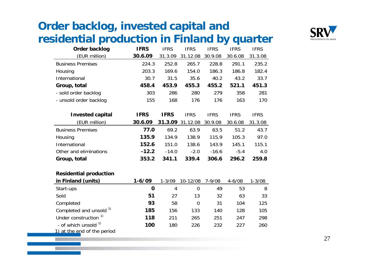# **Order backlog, invested capital and residential production in Finland by quarter production**



| Order backlog            | <b>IFRS</b> | <b>IFRS</b> | <b>IFRS</b> | <b>IFRS</b> | <b>IFRS</b> | <b>IFRS</b> |
|--------------------------|-------------|-------------|-------------|-------------|-------------|-------------|
| (EUR million)            | 30.6.09     | 31.3.09     | 31.12.08    | 30.9.08     | 30.6.08     | 31.3.08     |
| <b>Business Premises</b> | 224.3       | 252.8       | 265.7       | 228.8       | 291.1       | 235.2       |
| Housing                  | 203.3       | 169.6       | 154.0       | 186.3       | 186.8       | 182.4       |
| International            | 30.7        | 31.5        | 35.6        | 40.2        | 43.2        | 33.7        |
| Group, total             | 458.4       | 453.9       | 455.3       | 455.2       | 521.1       | 451.3       |
| - sold order backlog     | 303         | 286         | 280         | 279         | 358         | 281         |
| - unsold order backlog   | 155         | 168         | 176         | 176         | 163         | 170         |
|                          |             |             |             |             |             |             |
| <b>Invested capital</b>  | <b>IFRS</b> | <b>IFRS</b> | <b>IFRS</b> | <b>IFRS</b> | <b>IFRS</b> | <b>IFRS</b> |
| (EUR million)            | 30.6.09     | 31.3.09     | 31.12.08    | 30.9.08     | 30.6.08     | 31.3.08     |
| <b>Business Premises</b> | 77.0        | 69.2        | 63.9        | 63.5        | 51.2        | 43.7        |
| Housing                  | 135.9       | 134.9       | 138.9       | 115.9       | 105.3       | 97.0        |
| International            | 152.6       | 151.0       | 138.6       | 143.9       | 145.1       | 115.1       |
| Other and eliminations   | $-12.2$     | $-14.0$     | $-2.0$      | $-16.6$     | $-5.4$      | 4.0         |
| Group, total             |             |             |             |             | 296.2       | 259.8       |
|                          | 353.2       | 341.1       | 339.4       | 306.6       |             |             |

#### **Residential production**

| in Finland (units)                 | $1 - 6/09$ | $1 - 3/09$ | 10-12/08 | $7 - 9/08$ | $4 - 6/08$ | $1 - 3/08$ |
|------------------------------------|------------|------------|----------|------------|------------|------------|
| Start-ups                          | O          | 4          | 0        | 49         | 53         | 8          |
| Sold                               | 51         | 27         | 13       | 32         | 63         | 33         |
| Completed                          | 93         | 58         | 0        | 31         | 104        | 125        |
| Completed and unsold <sup>1)</sup> | 185        | 156        | 133      | 140        | 128        | 105        |
| Under construction <sup>1)</sup>   | 118        | 211        | 265      | 251        | 247        | 298        |
| - of which unsold $1$              | 100        | 180        | 226      | 232        | 227        | 260        |
| 1) at the end of the period        |            |            |          |            |            |            |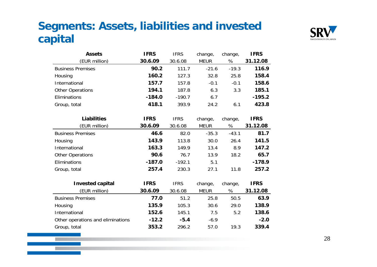## **Segments: Assets, liabilities and invested capital**



| <b>Assets</b>                     | <b>IFRS</b> | <b>IFRS</b> | change,     | change, | <b>IFRS</b> |
|-----------------------------------|-------------|-------------|-------------|---------|-------------|
| (EUR million)                     | 30.6.09     | 30.6.08     | <b>MEUR</b> | %       | 31.12.08    |
| <b>Business Premises</b>          | 90.2        | 111.7       | $-21.6$     | $-19.3$ | 116.9       |
| Housing                           | 160.2       | 127.3       | 32.8        | 25.8    | 158.4       |
| International                     | 157.7       | 157.8       | $-0.1$      | $-0.1$  | 158.6       |
| <b>Other Operations</b>           | 194.1       | 187.8       | 6.3         | 3.3     | 185.1       |
| Eliminations                      | $-184.0$    | $-190.7$    | 6.7         |         | $-195.2$    |
| Group, total                      | 418.1       | 393.9       | 24.2        | 6.1     | 423.8       |
|                                   |             |             |             |         |             |
| <b>Liabilities</b>                | <b>IFRS</b> | <b>IFRS</b> | change,     | change, | <b>IFRS</b> |
| (EUR million)                     | 30.6.09     | 30.6.08     | <b>MEUR</b> | %       | 31.12.08    |
| <b>Business Premises</b>          | 46.6        | 82.0        | $-35.3$     | $-43.1$ | 81.7        |
| Housing                           | 143.9       | 113.8       | 30.0        | 26.4    | 141.5       |
| International                     | 163.3       | 149.9       | 13.4        | 8.9     | 147.2       |
| <b>Other Operations</b>           | 90.6        | 76.7        | 13.9        | 18.2    | 65.7        |
| Eliminations                      | $-187.0$    | $-192.1$    | 5.1         |         | $-178.9$    |
| Group, total                      | 257.4       | 230.3       | 27.1        | 11.8    | 257.2       |
|                                   |             |             |             |         |             |
| <b>Invested capital</b>           | <b>IFRS</b> | <b>IFRS</b> | change,     | change, | <b>IFRS</b> |
| (EUR million)                     | 30.6.09     | 30.6.08     | <b>MEUR</b> | %       | 31.12.08    |
| <b>Business Premises</b>          | 77.0        | 51.2        | 25.8        | 50.5    | 63.9        |
| Housing                           | 135.9       | 105.3       | 30.6        | 29.0    | 138.9       |
| International                     | 152.6       | 145.1       | 7.5         | 5.2     | 138.6       |
| Other operations and eliminations | $-12.2$     | $-5.4$      | $-6.9$      |         | $-2.0$      |
| Group, total                      | 353.2       | 296.2       | 57.0        | 19.3    | 339.4       |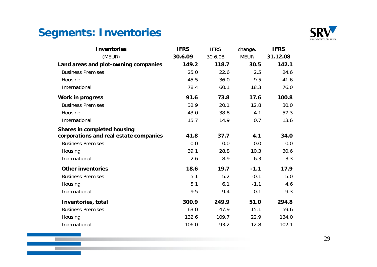## **Segments: Inventories**

 $\mathbb{R}^2$ 



| <b>Inventories</b>                     | <b>IFRS</b> | <b>IFRS</b> | change,     | <b>IFRS</b> |
|----------------------------------------|-------------|-------------|-------------|-------------|
| (MEUR)                                 | 30.6.09     | 30.6.08     | <b>MEUR</b> | 31.12.08    |
| Land areas and plot-owning companies   | 149.2       | 118.7       | 30.5        | 142.1       |
| <b>Business Premises</b>               | 25.0        | 22.6        | 2.5         | 24.6        |
| Housing                                | 45.5        | 36.0        | 9.5         | 41.6        |
| International                          | 78.4        | 60.1        | 18.3        | 76.0        |
| <b>Work in progress</b>                | 91.6        | 73.8        | 17.6        | 100.8       |
| <b>Business Premises</b>               | 32.9        | 20.1        | 12.8        | 30.0        |
| Housing                                | 43.0        | 38.8        | 4.1         | 57.3        |
| International                          | 15.7        | 14.9        | 0.7         | 13.6        |
| Shares in completed housing            |             |             |             |             |
| corporations and real estate companies | 41.8        | 37.7        | 4.1         | 34.0        |
| <b>Business Premises</b>               | 0.0         | 0.0         | 0.0         | 0.0         |
| Housing                                | 39.1        | 28.8        | 10.3        | 30.6        |
| International                          | 2.6         | 8.9         | $-6.3$      | 3.3         |
| <b>Other inventories</b>               | 18.6        | 19.7        | $-1.1$      | 17.9        |
| <b>Business Premises</b>               | 5.1         | 5.2         | $-0.1$      | 5.0         |
| Housing                                | 5.1         | 6.1         | $-1.1$      | 4.6         |
| International                          | 9.5         | 9.4         | 0.1         | 9.3         |
| Inventories, total                     | 300.9       | 249.9       | 51.0        | 294.8       |
| <b>Business Premises</b>               | 63.0        | 47.9        | 15.1        | 59.6        |
| Housing                                | 132.6       | 109.7       | 22.9        | 134.0       |
| International                          | 106.0       | 93.2        | 12.8        | 102.1       |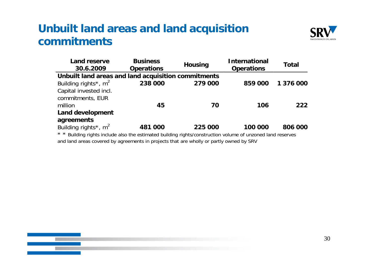#### **Unbuilt land areas and land acquisition commitments**



| Land reserve<br>30.6.2009                           | <b>Business</b><br><b>Operations</b> | <b>Housing</b> | <b>International</b><br><b>Operations</b> | Total     |
|-----------------------------------------------------|--------------------------------------|----------------|-------------------------------------------|-----------|
| Unbuilt land areas and land acquisition commitments |                                      |                |                                           |           |
| Building rights <sup>*</sup> , $m^2$                | 238 000                              | 279 000        | 859 000                                   | 1 376 000 |
| Capital invested incl.                              |                                      |                |                                           |           |
| commitments, EUR                                    |                                      |                |                                           |           |
| million                                             | 45                                   | 70             | 106                                       | 222       |
| <b>Land development</b>                             |                                      |                |                                           |           |
| agreements                                          |                                      |                |                                           |           |
| Building rights <sup>*</sup> , $m^2$                | 481 000                              | 225 000        | 100 000                                   | 806 000   |
|                                                     |                                      |                |                                           |           |

\*\* \* Building rights include also the estimated building rights/construction volume of unzoned land reserves and land areas covered by agreements in projects that are wholly or partly owned by SRV

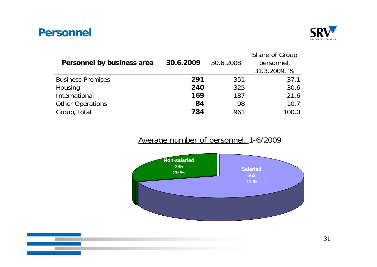#### **Personnel**



| Personnel by business area | 30.6.2009 | 30.6.2008 | Share of Group<br>personnel,<br>31.3.2009, % |
|----------------------------|-----------|-----------|----------------------------------------------|
| <b>Business Premises</b>   | 291       | 351       | 37.1                                         |
| Housing                    | 240       | 325       | 30.6                                         |
| International              | 169       | 187       | 21.6                                         |
| <b>Other Operations</b>    | 84        | 98        | 10.7                                         |
| Group, total               | 784       | 961       | 100.0                                        |

#### Average number of personnel, 1-6/2009



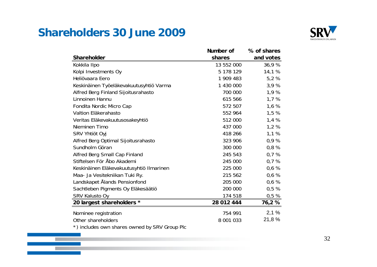#### **Shareholders 30 June 2009**

a and



|                                               | Number of  | % of shares |
|-----------------------------------------------|------------|-------------|
| <b>Shareholder</b>                            | shares     | and votes   |
| Kokkila Ilpo                                  | 13 552 000 | 36,9%       |
| Kolpi Investments Oy                          | 5 178 129  | 14,1 %      |
| Heliövaara Eero                               | 1 909 483  | 5,2%        |
| Keskinäinen Työeläkevakuutusyhtiö Varma       | 1 430 000  | 3,9%        |
| Alfred Berg Finland Sijoitusrahasto           | 700 000    | 1,9 %       |
| Linnoinen Hannu                               | 615 566    | 1,7%        |
| Fondita Nordic Micro Cap                      | 572 507    | 1,6%        |
| Valtion Eläkerahasto                          | 552 964    | 1,5%        |
| Veritas Eläkevakuutusosakeyhtiö               | 512 000    | 1,4%        |
| Nieminen Timo                                 | 437 000    | 1,2%        |
| SRV Yhtiöt Oyj                                | 418 266    | 1,1%        |
| Alfred Berg Optimal Sijoitusrahasto           | 323 906    | 0,9%        |
| Sundholm Göran                                | 300 000    | 0,8%        |
| Alfred Berg Small Cap Finland                 | 245 543    | 0,7%        |
| Stiftelsen För Åbo Akademi                    | 245 000    | 0,7%        |
| Keskinäinen Eläkevakuutusyhtiö Ilmarinen      | 225 000    | 0,6%        |
| Maa- Ja Vesitekniikan Tuki Ry.                | 215 562    | 0,6%        |
| Landskapet Ålands Pensionfond                 | 205 000    | 0,6%        |
| Sachtleben Pigments Oy Eläkesäätiö            | 200 000    | 0,5%        |
| SRV Kalusto Oy                                | 174 518    | 0,5%        |
| 20 largest shareholders *                     | 28 012 444 | 76,2%       |
| Nominee registration                          | 754 991    | 2,1%        |
| Other shareholders                            | 8 001 033  | 21,8 %      |
| *) includes own shares owned by SRV Group Plc |            |             |